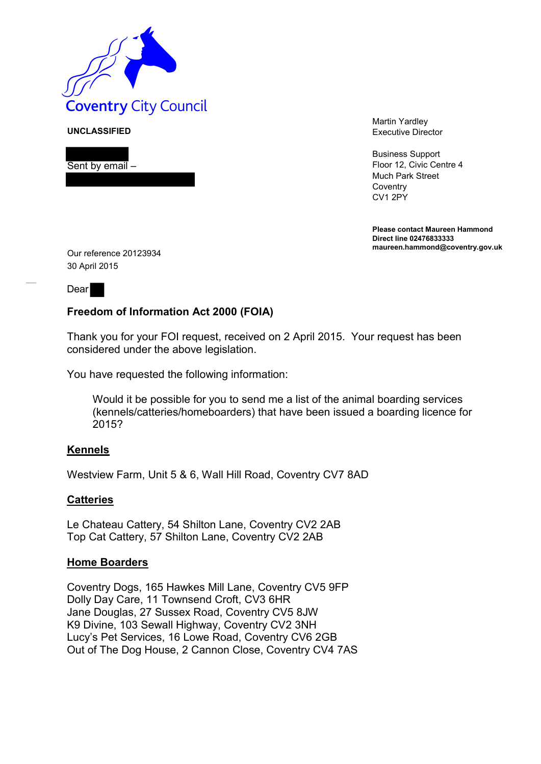

**UNCLASSIFIED**

Sent by email –

Martin Yardley Executive Director

Business Support Floor 12, Civic Centre 4 Much Park Street **Coventry** CV1 2PY

**Please contact Maureen Hammond Direct line 02476833333 maureen.hammond@coventry.gov.uk**

Our reference 20123934 30 April 2015

Dear

## **Freedom of Information Act 2000 (FOIA)**

Thank you for your FOI request, received on 2 April 2015. Your request has been considered under the above legislation.

You have requested the following information:

Would it be possible for you to send me a list of the animal boarding services (kennels/catteries/homeboarders) that have been issued a boarding licence for 2015?

## **Kennels**

Westview Farm, Unit 5 & 6, Wall Hill Road, Coventry CV7 8AD

## **Catteries**

Le Chateau Cattery, 54 Shilton Lane, Coventry CV2 2AB Top Cat Cattery, 57 Shilton Lane, Coventry CV2 2AB

## **Home Boarders**

Coventry Dogs, 165 Hawkes Mill Lane, Coventry CV5 9FP Dolly Day Care, 11 Townsend Croft, CV3 6HR Jane Douglas, 27 Sussex Road, Coventry CV5 8JW K9 Divine, 103 Sewall Highway, Coventry CV2 3NH Lucy's Pet Services, 16 Lowe Road, Coventry CV6 2GB Out of The Dog House, 2 Cannon Close, Coventry CV4 7AS